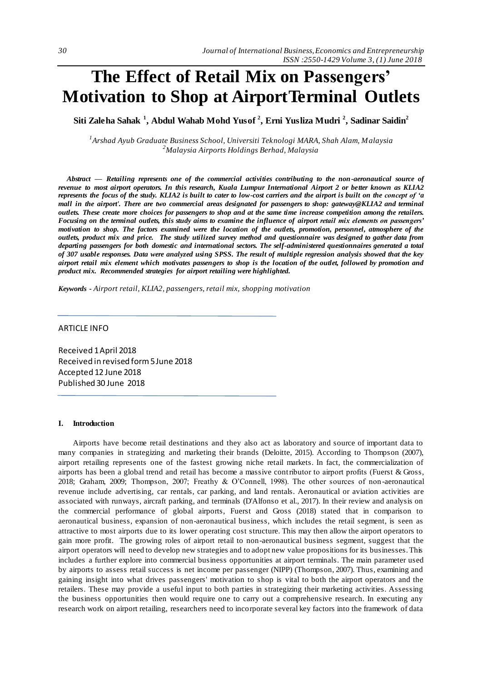# **The Effect of Retail Mix on Passengers' Motivation to Shop at AirportTerminal Outlets**

**Siti Zaleha Sahak <sup>1</sup> , Abdul Wahab Mohd Yusof <sup>2</sup> , Erni Yusliza Mudri <sup>2</sup> , Sadinar Saidin<sup>2</sup>**

*1 Arshad Ayub Graduate Business School, Universiti Teknologi MARA, Shah Alam, Malaysia <sup>2</sup>Malaysia Airports Holdings Berhad, Malaysia*

*Abstract — Retailing represents one of the commercial activities contributing to the non-aeronautical source of revenue to most airport operators. In this research, Kuala Lumpur International Airport 2 or better known as KLIA2 represents the focus of the study. KLIA2 is built to cater to low-cost carriers and the airport is built on the concept of 'a mall in the airport'. There are two commercial areas designated for passengers to shop: gateway@KLIA2 and terminal outlets. These create more choices for passengers to shop and at the same time increase competition among the retailers. Focusing on the terminal outlets, this study aims to examine the influence of airport retail mix elements on passengers' motivation to shop. The factors examined were the location of the outlets, promotion, personnel, atmosphere of the outlets, product mix and price. The study utilized survey method and questionnaire was designed to gather data from departing passengers for both domestic and international sectors. The self-administered questionnaires generated a total of 307 usable responses. Data were analyzed using SPSS. The result of multiple regression analysis showed that the key airport retail mix element which motivates passengers to shop is the location of the outlet, followed by promotion and product mix. Recommended strategies for airport retailing were highlighted.* 

*Keywords - Airport retail, KLIA2, passengers, retail mix, shopping motivation*

## ARTICLE INFO

Received 1 April 2018 Received in revised form 5 June 2018 Accepted 12 June 2018 Published 30 June 2018

## **I. Introduction**

Airports have become retail destinations and they also act as laboratory and source of important data to many companies in strategizing and marketing their brands (Deloitte, 2015). According to Thompson (2007), airport retailing represents one of the fastest growing niche retail markets. In fact, the commercialization of airports has been a global trend and retail has become a massive contributor to airport profits (Fuerst & Gross, 2018; Graham, 2009; Thompson, 2007; Freathy & O'Connell, 1998). The other sources of non-aeronautical revenue include advertising, car rentals, car parking, and land rentals. Aeronautical or aviation activities are associated with runways, aircraft parking, and terminals (D'Alfonso et al., 2017). In their review and analysis on the commercial performance of global airports, Fuerst and Gross (2018) stated that in comparison to aeronautical business, expansion of non-aeronautical business, which includes the retail segment, is seen as attractive to most airports due to its lower operating cost structure. This may then allow the airport operators to gain more profit. The growing roles of airport retail to non-aeronautical business segment, suggest that the airport operators will need to develop new strategies and to adopt new value propositions for its businesses. This includes a further explore into commercial business opportunities at airport terminals. The main parameter used by airports to assess retail success is net income per passenger (NIPP) (Thompson, 2007). Thus, examining and gaining insight into what drives passengers' motivation to shop is vital to both the airport operators and the retailers. These may provide a useful input to both parties in strategizing their marketing activities. Assessing the business opportunities then would require one to carry out a comprehensive research. In executing any research work on airport retailing, researchers need to incorporate several key factors into the framework of data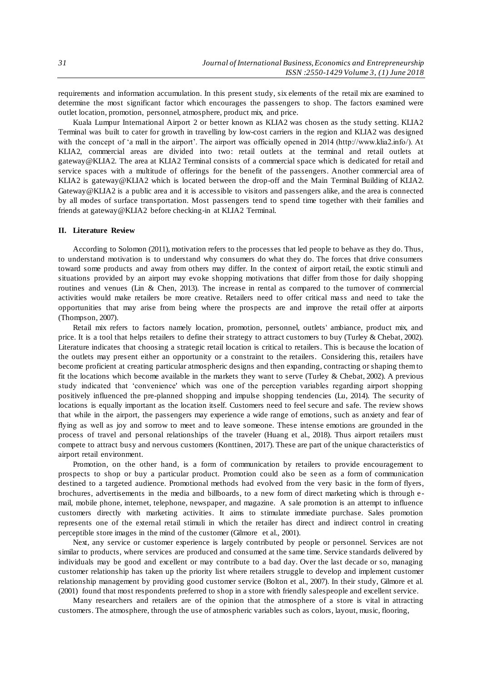requirements and information accumulation. In this present study, six elements of the retail mix are examined to determine the most significant factor which encourages the passengers to shop. The factors examined were outlet location, promotion, personnel, atmosphere, product mix, and price.

Kuala Lumpur International Airport 2 or better known as KLIA2 was chosen as the study setting. KLIA2 Terminal was built to cater for growth in travelling by low-cost carriers in the region and KLIA2 was designed with the concept of 'a mall in the airport'. The airport was officially opened in 2014 (http://www.klia2.info/). At KLIA2, commercial areas are divided into two: retail outlets at the terminal and retail outlets at gateway@KLIA2. The area at KLIA2 Terminal consists of a commercial space which is dedicated for retail and service spaces with a multitude of offerings for the benefit of the passengers. Another commercial area of KLIA2 is gateway@KLIA2 which is located between the drop-off and the Main Terminal Building of KLIA2. Gateway@KLIA2 is a public area and it is accessible to visitors and passengers alike, and the area is connected by all modes of surface transportation. Most passengers tend to spend time together with their families and friends at gateway@KLIA2 before checking-in at KLIA2 Terminal.

### **II. Literature Review**

According to Solomon (2011), motivation refers to the processes that led people to behave as they do. Thus, to understand motivation is to understand why consumers do what they do. The forces that drive consumers toward some products and away from others may differ. In the context of airport retail, the exotic stimuli and situations provided by an airport may evoke shopping motivations that differ from those for daily shopping routines and venues (Lin & Chen, 2013). The increase in rental as compared to the turnover of commercial activities would make retailers be more creative. Retailers need to offer critical mass and need to take the opportunities that may arise from being where the prospects are and improve the retail offer at airports (Thompson, 2007).

Retail mix refers to factors namely location, promotion, personnel, outlets' ambiance, product mix, and price. It is a tool that helps retailers to define their strategy to attract customers to buy (Turley & Chebat, 2002). Literature indicates that choosing a strategic retail location is critical to retailers. This is because the location of the outlets may present either an opportunity or a constraint to the retailers. Considering this, retailers have become proficient at creating particular atmospheric designs and then expanding, contracting or shaping them to fit the locations which become available in the markets they want to serve (Turley & Chebat, 2002). A previous study indicated that 'convenience' which was one of the perception variables regarding airport shopping positively influenced the pre-planned shopping and impulse shopping tendencies (Lu, 2014). The security of locations is equally important as the location itself. Customers need to feel secure and safe. The review shows that while in the airport, the passengers may experience a wide range of emotions, such as anxiety and fear of flying as well as joy and sorrow to meet and to leave someone. These intense emotions are grounded in the process of travel and personal relationships of the traveler (Huang et al., 2018). Thus airport retailers must compete to attract busy and nervous customers (Konttinen, 2017). These are part of the unique characteristics of airport retail environment.

Promotion, on the other hand, is a form of communication by retailers to provide encouragement to prospects to shop or buy a particular product. Promotion could also be seen as a form of communication destined to a targeted audience. Promotional methods had evolved from the very basic in the form of flyers, brochures, advertisements in the media and billboards, to a new form of direct marketing which is through e mail, mobile phone, internet, telephone, newspaper, and magazine. A sale promotion is an attempt to influence customers directly with marketing activities. It aims to stimulate immediate purchase. Sales promotion represents one of the external retail stimuli in which the retailer has direct and indirect control in creating perceptible store images in the mind of the customer (Gilmore et al., 2001).

Next, any service or customer experience is largely contributed by people or personnel. Services are not similar to products, where services are produced and consumed at the same time. Service standards delivered by individuals may be good and excellent or may contribute to a bad day. Over the last decade or so, managing customer relationship has taken up the priority list where retailers struggle to develop and implement customer relationship management by providing good customer service (Bolton et al., 2007). In their study, Gilmore et al. (2001) found that most respondents preferred to shop in a store with friendly salespeople and excellent service.

Many researchers and retailers are of the opinion that the atmosphere of a store is vital in attracting customers. The atmosphere, through the use of atmospheric variables such as colors, layout, music, flooring,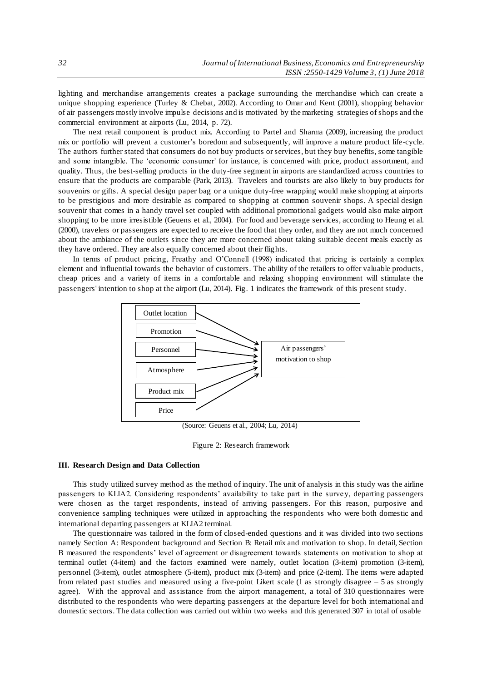lighting and merchandise arrangements creates a package surrounding the merchandise which can create a unique shopping experience (Turley & Chebat, 2002). According to Omar and Kent (2001), shopping behavior of air passengers mostly involve impulse decisions and is motivated by the marketing strategies of shops and the commercial environment at airports (Lu, 2014, p. 72).

The next retail component is product mix. According to Partel and Sharma (2009), increasing the product mix or portfolio will prevent a customer's boredom and subsequently, will improve a mature product life-cycle. The authors further stated that consumers do not buy products or services, but they buy benefits, some tangible and some intangible. The 'economic consumer' for instance, is concerned with price, product assortment, and quality. Thus, the best-selling products in the duty-free segment in airports are standardized across countries to ensure that the products are comparable (Park, 2013). Travelers and tourists are also likely to buy products for souvenirs or gifts. A special design paper bag or a unique duty-free wrapping would make shopping at airports to be prestigious and more desirable as compared to shopping at common souvenir shops. A special design souvenir that comes in a handy travel set coupled with additional promotional gadgets would also make airport shopping to be more irresistible (Geuens et al., 2004). For food and beverage services, according to Heung et al. (2000), travelers or passengers are expected to receive the food that they order, and they are not much concerned about the ambiance of the outlets since they are more concerned about taking suitable decent meals exactly as they have ordered. They are also equally concerned about their flights.

In terms of product pricing, Freathy and O'Connell (1998) indicated that pricing is certainly a complex element and influential towards the behavior of customers. The ability of the retailers to offer valuable products, cheap prices and a variety of items in a comfortable and relaxing shopping environment will stimulate the passengers' intention to shop at the airport (Lu, 2014). Fig. 1 indicates the framework of this present study.



(Source: Geuens et al., 2004; Lu, 2014)

Figure 2: Research framework

## **III. Research Design and Data Collection**

This study utilized survey method as the method of inquiry. The unit of analysis in this study was the airline passengers to KLIA2. Considering respondents' availability to take part in the survey, departing passengers were chosen as the target respondents, instead of arriving passengers. For this reason, purposive and convenience sampling techniques were utilized in approaching the respondents who were both domestic and international departing passengers at KLIA2 terminal.

The questionnaire was tailored in the form of closed-ended questions and it was divided into two sections namely Section A: Respondent background and Section B: Retail mix and motivation to shop. In detail, Section B measured the respondents' level of agreement or disagreement towards statements on motivation to shop at terminal outlet (4-item) and the factors examined were namely, outlet location (3-item) promotion (3-item), personnel (3-item), outlet atmosphere (5-item), product mix (3-item) and price (2-item). The items were adapted from related past studies and measured using a five-point Likert scale (1 as strongly disagree  $-5$  as strongly agree). With the approval and assistance from the airport management, a total of 310 questionnaires were distributed to the respondents who were departing passengers at the departure level for both international and domestic sectors. The data collection was carried out within two weeks and this generated 307 in total of usable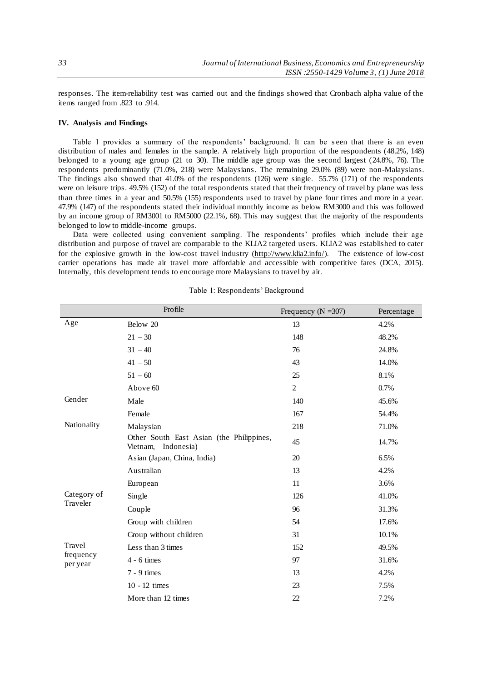responses. The item-reliability test was carried out and the findings showed that Cronbach alpha value of the items ranged from .823 to .914.

# **IV. Analysis and Findings**

Table 1 provides a summary of the respondents' background. It can be s een that there is an even distribution of males and females in the sample. A relatively high proportion of the respondents (48.2%, 148) belonged to a young age group (21 to 30). The middle age group was the second largest (24.8%, 76). The respondents predominantly (71.0%, 218) were Malaysians. The remaining 29.0% (89) were non-Malaysians. The findings also showed that 41.0% of the respondents (126) were single. 55.7% (171) of the respondents were on leisure trips. 49.5% (152) of the total respondents stated that their frequency of travel by plane was less than three times in a year and 50.5% (155) respondents used to travel by plane four times and more in a year. 47.9% (147) of the respondents stated their individual monthly income as below RM3000 and this was followed by an income group of RM3001 to RM5000 (22.1%, 68). This may suggest that the majority of the respondents belonged to low to middle-income groups.

Data were collected using convenient sampling. The respondents' profiles which include their age distribution and purpose of travel are comparable to the KLIA2 targeted users. KLIA2 was established to cater for the explosive growth in the low-cost travel industry [\(http://www.klia2.info/\)](http://www.klia2.info/). The existence of low-cost carrier operations has made air travel more affordable and accessible with competitive fares (DCA, 2015). Internally, this development tends to encourage more Malaysians to travel by air.

|                       | Profile                                                         | Frequency ( $N = 307$ ) | Percentage |
|-----------------------|-----------------------------------------------------------------|-------------------------|------------|
| Age                   | Below 20                                                        | 13                      | 4.2%       |
|                       | $21 - 30$                                                       | 148                     | 48.2%      |
|                       | $31 - 40$                                                       | 76                      | 24.8%      |
|                       | $41 - 50$                                                       | 43                      | 14.0%      |
|                       | $51 - 60$                                                       | 25                      | 8.1%       |
|                       | Above 60                                                        | $\overline{c}$          | 0.7%       |
| Gender                | Male                                                            | 140                     | 45.6%      |
|                       | Female                                                          | 167                     | 54.4%      |
| Nationality           | Malaysian                                                       | 218                     | 71.0%      |
|                       | Other South East Asian (the Philippines,<br>Vietnam, Indonesia) | 45                      | 14.7%      |
|                       | Asian (Japan, China, India)                                     | 20                      | 6.5%       |
|                       | Australian                                                      | 13                      | 4.2%       |
|                       | European                                                        | 11                      | 3.6%       |
| Category of           | Single                                                          | 126                     | 41.0%      |
| Traveler              | Couple                                                          | 96                      | 31.3%      |
|                       | Group with children                                             | 54                      | 17.6%      |
|                       | Group without children                                          | 31                      | 10.1%      |
| Travel                | Less than 3 times                                               | 152                     | 49.5%      |
| frequency<br>per year | $4 - 6$ times                                                   | 97                      | 31.6%      |
|                       | $7 - 9$ times                                                   | 13                      | 4.2%       |
|                       | $10 - 12$ times                                                 | 23                      | 7.5%       |
|                       | More than 12 times                                              | 22                      | 7.2%       |

|  |  | Table 1: Respondents' Background |  |
|--|--|----------------------------------|--|
|--|--|----------------------------------|--|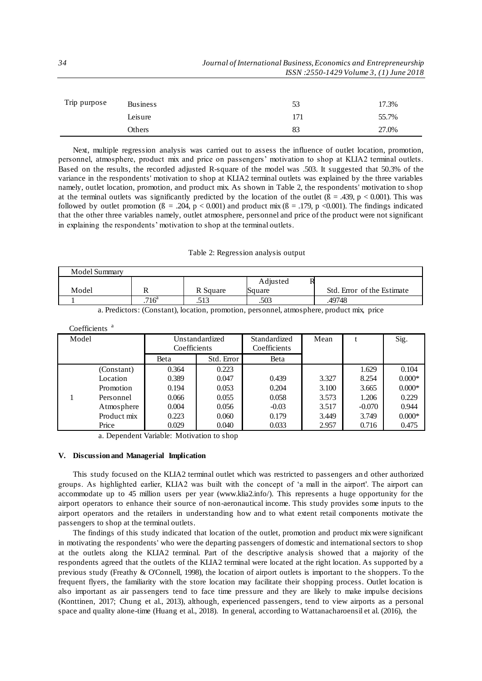| Trip purpose | <b>Business</b> | 53  | 17.3% |
|--------------|-----------------|-----|-------|
|              | Leisure         | 171 | 55.7% |
|              | Others          | 83  | 27.0% |

Next, multiple regression analysis was carried out to assess the influence of outlet location, promotion, personnel, atmosphere, product mix and price on passengers' motivation to shop at KLIA2 terminal outlets. Based on the results, the recorded adjusted R-square of the model was .503. It suggested that 50.3% of the variance in the respondents' motivation to shop at KLIA2 terminal outlets was explained by the three variables namely, outlet location, promotion, and product mix. As shown in Table 2, the respondents' motivation to shop at the terminal outlets was significantly predicted by the location of the outlet  $(β = .439, p < 0.001)$ . This was followed by outlet promotion ( $\beta = .204$ ,  $p < 0.001$ ) and product mix ( $\beta = .179$ ,  $p < 0.001$ ). The findings indicated that the other three variables namely, outlet atmosphere, personnel and price of the product were not significant in explaining the respondents' motivation to shop at the terminal outlets.

# Table 2: Regression analysis output

| Model Summary |                   |          |               |                            |
|---------------|-------------------|----------|---------------|----------------------------|
|               |                   |          | R<br>Adjusted |                            |
| Model         |                   | R Square | Square        | Std. Error of the Estimate |
|               | .716 <sup>a</sup> | .513     | .503          | .49748                     |

a. Predictors: (Constant), location, promotion, personnel, atmosphere, product mix, price

|       | COUNTENTS   |              |                |                              |       |          |          |
|-------|-------------|--------------|----------------|------------------------------|-------|----------|----------|
| Model |             | Coefficients | Unstandardized | Standardized<br>Coefficients | Mean  |          | Sig.     |
|       |             | Beta         | Std. Error     | Beta                         |       |          |          |
|       | (Constant)  | 0.364        | 0.223          |                              |       | 1.629    | 0.104    |
|       | Location    | 0.389        | 0.047          | 0.439                        | 3.327 | 8.254    | $0.000*$ |
|       | Promotion   | 0.194        | 0.053          | 0.204                        | 3.100 | 3.665    | $0.000*$ |
|       | Personnel   | 0.066        | 0.055          | 0.058                        | 3.573 | 1.206    | 0.229    |
|       | Atmosphere  | 0.004        | 0.056          | $-0.03$                      | 3.517 | $-0.070$ | 0.944    |
|       | Product mix | 0.223        | 0.060          | 0.179                        | 3.449 | 3.749    | $0.000*$ |
|       | Price       | 0.029        | 0.040          | 0.033                        | 2.957 | 0.716    | 0.475    |

a. Dependent Variable: Motivation to shop

### **V. Discussion and Managerial Implication**

 $C_{\alpha}$ fficiante a

This study focused on the KLIA2 terminal outlet which was restricted to passengers an d other authorized groups. As highlighted earlier, KLIA2 was built with the concept of 'a mall in the airport'. The airport can accommodate up to 45 million users per year (www.klia2.info/). This represents a huge opportunity for the airport operators to enhance their source of non-aeronautical income. This study provides some inputs to the airport operators and the retailers in understanding how and to what extent retail components motivate the passengers to shop at the terminal outlets.

The findings of this study indicated that location of the outlet, promotion and product mix were significant in motivating the respondents' who were the departing passengers of domestic and international sectors to shop at the outlets along the KLIA2 terminal. Part of the descriptive analysis showed that a majority of the respondents agreed that the outlets of the KLIA2 terminal were located at the right location. As supported by a previous study (Freathy & O'Connell, 1998), the location of airport outlets is important to t he shoppers. To the frequent flyers, the familiarity with the store location may facilitate their shopping process. Outlet location is also important as air passengers tend to face time pressure and they are likely to make impulse decisions (Konttinen, 2017; Chung et al., 2013), although, experienced passengers, tend to view airports as a personal space and quality alone-time (Huang et al., 2018). In general, according to Wattanacharoensil et al. (2016), the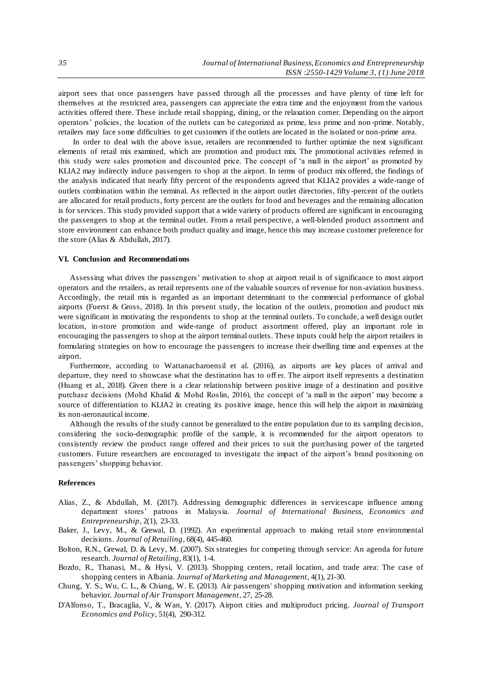airport sees that once passengers have passed through all the processes and have plenty of time left for themselves at the restricted area, passengers can appreciate the extra time and the enjoyment from the various activities offered there. These include retail shopping, dining, or the relaxation corner. Depending on the airport operators' policies, the location of the outlets can be categorized as prime, less prime and non -prime. Notably, retailers may face some difficulties to get customers if the outlets are located in the isolated or non-prime area.

In order to deal with the above issue, retailers are recommended to further optimize the next significant elements of retail mix examined, which are promotion and product mix. The promotional activities referred in this study were sales promotion and discounted price. The concept of 'a mall in the airport' as promoted by KLIA2 may indirectly induce passengers to shop at the airport. In terms of product mix offered, the findings of the analysis indicated that nearly fifty percent of the respondents agreed that KLIA2 provides a wide-range of outlets combination within the terminal. As reflected in the airport outlet directories, fifty -percent of the outlets are allocated for retail products, forty percent are the outlets for food and beverages and the remaining allocation is for services. This study provided support that a wide variety of products offered are significant in encouraging the passengers to shop at the terminal outlet. From a retail perspective, a well-blended product assortment and store environment can enhance both product quality and image, hence this may increase customer preference for the store (Alias & Abdullah, 2017).

## **VI. Conclusion and Recommendations**

Assessing what drives the passengers' motivation to shop at airport retail is of significance to most airport operators and the retailers, as retail represents one of the valuable sources of revenue for non-aviation business. Accordingly, the retail mix is regarded as an important determinant to the commercial p erformance of global airports (Fuerst & Gross, 2018). In this present study, the location of the outlets, promotion and product mix were significant in motivating the respondents to shop at the terminal outlets. To conclude, a well design outlet location, in-store promotion and wide-range of product assortment offered, play an important role in encouraging the passengers to shop at the airport terminal outlets. These inputs could help the airport retailers in formulating strategies on how to encourage the passengers to increase their dwelling time and expenses at the airport.

Furthermore, according to Wattanacharoensil et al. (2016), as airports are key places of arrival and departure, they need to showcase what the destination has to offer. The airport itself represents a destination (Huang et al., 2018). Given there is a clear relationship between positive image of a destination and positive purchase decisions (Mohd Khalid & Mohd Roslin, 2016), the concept of 'a mall in the airport' may become a source of differentiation to KLIA2 in creating its positive image, hence this will help the airport in maximizing its non-aeronautical income.

Although the results of the study cannot be generalized to the entire population due to its sampling decision, considering the socio-demographic profile of the sample, it is recommended for the airport operators to consistently review the product range offered and their prices to suit the purchasing power of the targeted customers. Future researchers are encouraged to investigate the impact of the airport's brand positioning on passengers' shopping behavior.

## **References**

- Alias, Z., & Abdullah, M. (2017). Addressing demographic differences in servicescape influence among department stores' patrons in Malaysia. *Journal of International Business, Economics and Entrepreneurship*, 2(1), 23-33.
- Baker, J., Levy, M., & Grewal, D. (1992). An experimental approach to making retail store environmental decisions. *Journal of Retailing*, 68(4), 445-460.
- Bolton, R.N., Grewal, D. & Levy, M. (2007). Six strategies for competing through service: An agenda for future research. *Journal of Retailing*, 83(1), 1-4.
- Bozdo, R., Thanasi, M., & Hysi, V. (2013). Shopping centers, retail location, and trade area: The case of shopping centers in Albania. *Journal of Marketing and Management*, 4(1), 21-30.
- Chung, Y. S., Wu, C. L., & Chiang, W. E. (2013). Air passengers' shopping motivation and information seeking behavior. *Journal of Air Transport Management*, 27, 25-28.
- D'Alfonso, T., Bracaglia, V., & Wan, Y. (2017). Airport cities and multiproduct pricing. *Journal of Transport Economics and Policy*, 51(4), 290-312.